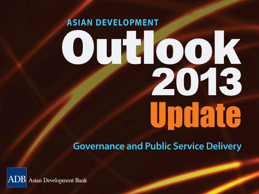# **ASIAN DEVELOPMENT** 0010015 Undate

#### **Governance and Public Service Delivery**

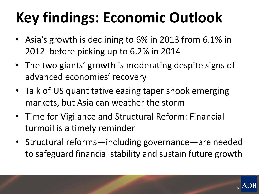# **Key findings: Economic Outlook**

- Asia's growth is declining to 6% in 2013 from 6.1% in 2012 before picking up to 6.2% in 2014
- The two giants' growth is moderating despite signs of advanced economies' recovery
- Talk of US quantitative easing taper shook emerging markets, but Asia can weather the storm
- Time for Vigilance and Structural Reform: Financial turmoil is a timely reminder
- Structural reforms—including governance—are needed to safeguard financial stability and sustain future growth

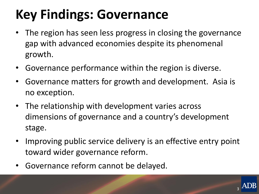#### **Key Findings: Governance**

- The region has seen less progress in closing the governance gap with advanced economies despite its phenomenal growth.
- Governance performance within the region is diverse.
- Governance matters for growth and development. Asia is no exception.
- The relationship with development varies across dimensions of governance and a country's development stage.
- Improving public service delivery is an effective entry point toward wider governance reform.
- Governance reform cannot be delayed.

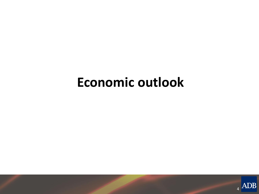#### **Economic outlook**

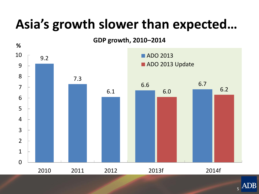#### **Asia's growth slower than expected…**



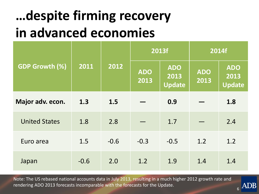#### **…despite firming recovery in advanced economies**

|                       | 2011   | 2012   |                    | 2013f                               | 2014f              |                                     |
|-----------------------|--------|--------|--------------------|-------------------------------------|--------------------|-------------------------------------|
| <b>GDP Growth (%)</b> |        |        | <b>ADO</b><br>2013 | <b>ADO</b><br>2013<br><b>Update</b> | <b>ADO</b><br>2013 | <b>ADO</b><br>2013<br><b>Update</b> |
| Major adv. econ.      | 1.3    | 1.5    |                    | 0.9                                 |                    | 1.8                                 |
| <b>United States</b>  | 1.8    | 2.8    |                    | 1.7                                 |                    | 2.4                                 |
| Euro area             | 1.5    | $-0.6$ | $-0.3$             | $-0.5$                              | 1.2                | 1.2                                 |
| Japan                 | $-0.6$ | 2.0    | 1.2                | 1.9                                 | 1.4                | 1.4                                 |

Note: The US rebased national accounts data in July 2013, resulting in a much higher 2012 growth rate and rendering ADO 2013 forecasts incomparable with the forecasts for the Update.

6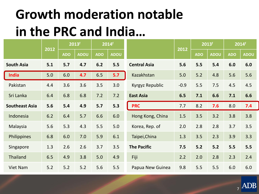#### **Growth moderation notable in the PRC and India…**

| 2012                  |     |            | 2013f       |            | 2014f       |                     |        | 2013f      |             | 2014f      |             |
|-----------------------|-----|------------|-------------|------------|-------------|---------------------|--------|------------|-------------|------------|-------------|
|                       |     | <b>ADO</b> | <b>ADOU</b> | <b>ADO</b> | <b>ADOU</b> |                     | 2012   | <b>ADO</b> | <b>ADOU</b> | <b>ADO</b> | <b>ADOU</b> |
| <b>South Asia</b>     | 5.1 | 5.7        | 4.7         | 6.2        | 5.5         | <b>Central Asia</b> | 5.6    | 5.5        | 5.4         | 6.0        | 6.0         |
| <b>India</b>          | 5.0 | 6.0        | 4.7         | 6.5        | 5.7         | Kazakhstan          | 5.0    | 5.2        | 4.8         | 5.6        | 5.6         |
| Pakistan              | 4.4 | 3.6        | 3.6         | 3.5        | 3.0         | Kyrgyz Republic     | $-0.9$ | 5.5        | 7.5         | 4.5        | 4.5         |
| Sri Lanka             | 6.4 | 6.8        | 6.8         | 7.2        | 7.2         | <b>East Asia</b>    | 6.5    | 7.1        | 6.6         | 7.1        | 6.6         |
| <b>Southeast Asia</b> | 5.6 | 5.4        | 4.9         | 5.7        | 5.3         | <b>PRC</b>          | 7.7    | 8.2        | 7.6         | 8.0        | 7.4         |
| Indonesia             | 6.2 | 6.4        | 5.7         | 6.6        | 6.0         | Hong Kong, China    | 1.5    | 3.5        | 3.2         | 3.8        | 3.8         |
| Malaysia              | 5.6 | 5.3        | 4.3         | 5.5        | 5.0         | Korea, Rep. of      | 2.0    | 2.8        | 2.8         | 3.7        | 3.5         |
| Philippines           | 6.8 | 6.0        | 7.0         | 5.9        | 6.1         | Taipei, China       | 1.3    | 3.5        | 2.3         | 3.9        | 3.3         |
| Singapore             | 1.3 | 2.6        | 2.6         | 3.7        | 3.5         | <b>The Pacific</b>  | 7.5    | $5.2$      | 5.2         | 5.5        | 5.5         |
| Thailand              | 6.5 | 4.9        | 3.8         | 5.0        | 4.9         | Fiji                | 2.2    | 2.0        | 2.8         | 2.3        | 2.4         |
| <b>Viet Nam</b>       | 5.2 | 5.2        | 5.2         | 5.6        | 5.5         | Papua New Guinea    | 9.8    | 5.5        | 5.5         | 6.0        | 6.0         |

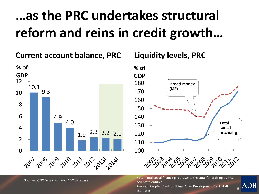#### **…as the PRC undertakes structural reform and reins in credit growth…**

**Current account balance, PRC**



#### **Liquidity levels, PRC**



Note: Total social financing represents the total fundraising by PRC non-state entities.

8

ADB

Sources: People's Bank of China, Asian Development Bank staff estimates.

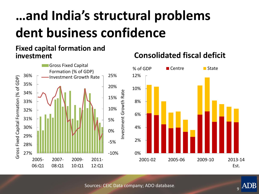#### **…and India's structural problems dent business confidence**

#### **Fixed capital formation and investment**



#### **Consolidated fiscal deficit**



Sources: CEIC Data company; ADO database.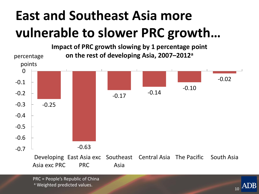#### **East and Southeast Asia more vulnerable to slower PRC growth…**



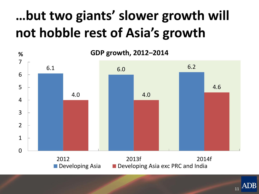#### **…but two giants' slower growth will not hobble rest of Asia's growth**



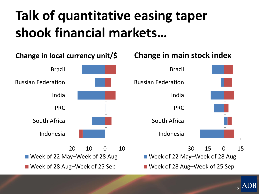#### **Talk of quantitative easing taper shook financial markets…**



12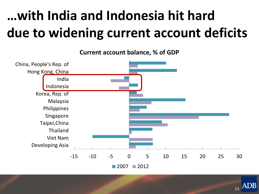### **…with India and Indonesia hit hard due to widening current account deficits**

**Current account balance, % of GDP**



ADB 13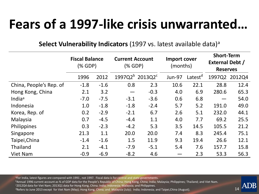#### **Fears of a 1997-like crisis unwarranted…**

#### **Select Vulnerability Indicators (1997 vs. latest available data)<sup>a</sup>**

|                         | <b>Fiscal Balance</b><br>(% GDP) |        | <b>Current Account</b><br>(% GDP) |                                         |               | Import cover<br>(months) |       | <b>Short-Term</b><br><b>External Debt /</b><br><b>Reserves</b> |  |  |
|-------------------------|----------------------------------|--------|-----------------------------------|-----------------------------------------|---------------|--------------------------|-------|----------------------------------------------------------------|--|--|
|                         | 1996                             | 2012   |                                   | 1997Q2 <sup>b</sup> 2013Q2 <sup>c</sup> | <b>Jun-97</b> | Latest <sup>d</sup>      |       | 1997Q2 2012Q4                                                  |  |  |
| China, People's Rep. of | $-1.8$                           | $-1.6$ | 0.8                               | 2.3                                     | 10.6          | 22.1                     | 28.8  | 12.4                                                           |  |  |
| Hong Kong, China        | 2.1                              | 3.2    | $\qquad \qquad \qquad$            | $-0.3$                                  | 4.0           | 6.9                      | 280.6 | 65.3                                                           |  |  |
| India <sup>a</sup>      | $-7.0$                           | $-7.5$ | $-3.1$                            | $-3.6$                                  | 0.6           | 6.8                      |       | 54.0                                                           |  |  |
| Indonesia               | 1.0                              | $-1.8$ | $-1.8$                            | $-2.4$                                  | 5.7           | 5.2                      | 191.0 | 49.0                                                           |  |  |
| Korea, Rep. of          | 0.2                              | $-2.9$ | $-2.1$                            | 6.7                                     | 2.6           | 5.1                      | 232.0 | 44.1                                                           |  |  |
| Malaysia                | 0.7                              | $-4.5$ | $-4.4$                            | 1.1                                     | 4.0           | 7.7                      | 69.2  | 25.5                                                           |  |  |
| Philippines             | 0.3                              | $-2.3$ | $-4.2$                            | 5.3                                     | 3.5           | 14.5                     | 105.5 | 21.2                                                           |  |  |
| Singapore               | 21.3                             | 1.1    | 20.0                              | 20.0                                    | 7.4           | 8.3                      | 245.4 | 75.1                                                           |  |  |
| Taipei, China           | $-1.4$                           | $-1.6$ | 1.5                               | 11.9                                    | 9.3           | 19.4                     | 26.6  | 12.1                                                           |  |  |
| Thailand                | 2.1                              | $-4.1$ | $-7.9$                            | $-5.1$                                  | 5.4           | 7.6                      | 157.7 | 15.8                                                           |  |  |
| Viet Nam                | $-0.9$                           | $-6.9$ | $-8.2$                            | 4.6                                     |               | 2.3                      | 53.3  | 56.3                                                           |  |  |

aFor India, latest figures are compared with 1991, not 1997. Fiscal data is for central and state governments.

bAnnual 1996 current account as % of GDP data for the People's Republic of China; Hong Kong, China; India; Malaysia; Philippines; Thailand; and Viet Nam.

 $14$ 

<sup>c</sup>2012Q4 data for Viet Nam; 2013Q1 data for Hong Kong, China; India; Indonesia; Malaysia; and Philippines.

 $d$ Refers to June 2013 except for Viet Nam (May); Hong Kong, China; and Malaysia (July); India; Indonesia; and Taipei,China (August).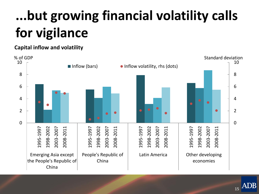# **...but growing financial volatility calls for vigilance**

#### **Capital inflow and volatility**



**ADB** 15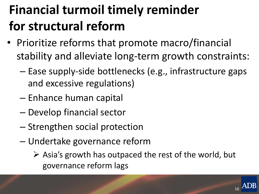#### **Financial turmoil timely reminder for structural reform**

- Prioritize reforms that promote macro/financial stability and alleviate long-term growth constraints:
	- Ease supply-side bottlenecks (e.g., infrastructure gaps and excessive regulations)
	- Enhance human capital
	- Develop financial sector
	- Strengthen social protection
	- Undertake governance reform
		- $\triangleright$  Asia's growth has outpaced the rest of the world, but governance reform lags

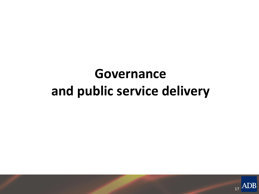#### **Governance and public service delivery**

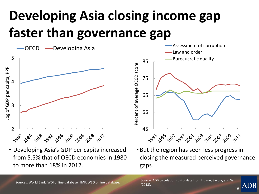#### **Developing Asia closing income gap faster than governance gap**





- Developing Asia's GDP per capita increased from 5.5% that of OECD economies in 1980 to more than 18% in 2012.
- But the region has seen less progress in closing the measured perceived governance gaps*.*

ADB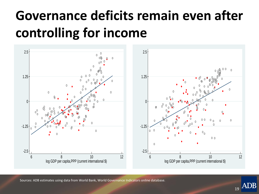#### **Governance deficits remain even after controlling for income**





 $\mathcal{C}$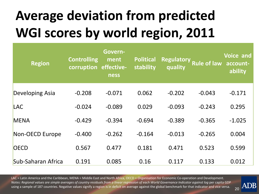## **Average deviation from predicted WGI scores by world region, 2011**

| <b>Region</b>      | <b>Controlling</b><br>corruption effective- | Govern-<br>ment<br>ness | <b>Political</b><br>stability | <b>Regulatory</b><br>quality | <b>Rule of law</b> | <b>Voice and</b><br>account-<br>ability |
|--------------------|---------------------------------------------|-------------------------|-------------------------------|------------------------------|--------------------|-----------------------------------------|
| Developing Asia    | $-0.208$                                    | $-0.071$                | 0.062                         | $-0.202$                     | $-0.043$           | $-0.171$                                |
| <b>LAC</b>         | $-0.024$                                    | $-0.089$                | 0.029                         | $-0.093$                     | $-0.243$           | 0.295                                   |
| <b>MENA</b>        | $-0.429$                                    | $-0.394$                | $-0.694$                      | $-0.389$                     | $-0.365$           | $-1.025$                                |
| Non-OECD Europe    | $-0.400$                                    | $-0.262$                | $-0.164$                      | $-0.013$                     | $-0.265$           | 0.004                                   |
| <b>OECD</b>        | 0.567                                       | 0.477                   | 0.181                         | 0.471                        | 0.523              | 0.599                                   |
| Sub-Saharan Africa | 0.191                                       | 0.085                   | 0.16                          | 0.117                        | 0.133              | 0.012                                   |

LAC = Latin America and the Caribbean, MENA = Middle East and North Africa, OECD = Organisation for Economic Co-operation and Development. *Notes: Regional values are simple averages of country residuals from a linear regression of each World Governance Indicator against log* per capita GDP using a sample of 187 countries. Negative values signify a region is in deficit on average against the global benchmark for that indicator and vice versa.

20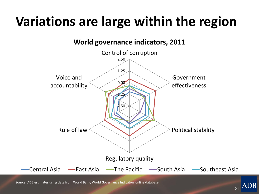#### **Variations are large within the region**



Source: ADB estimates using data from World Bank, World Governance Indicators online database.

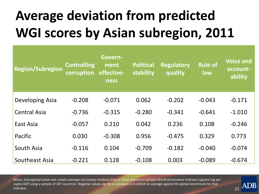## **Average deviation from predicted WGI scores by Asian subregion, 2011**

| Region/Subregion    | <b>Controlling</b><br>corruption | Govern-<br>ment<br>effective-<br>ness | <b>Political</b><br>stability | <b>Regulatory</b><br>quality | <b>Rule of</b><br>law | <b>Voice and</b><br>account-<br>ability |
|---------------------|----------------------------------|---------------------------------------|-------------------------------|------------------------------|-----------------------|-----------------------------------------|
| Developing Asia     | $-0.208$                         | $-0.071$                              | 0.062                         | $-0.202$                     | $-0.043$              | $-0.171$                                |
| <b>Central Asia</b> | $-0.736$                         | $-0.315$                              | $-0.280$                      | $-0.341$                     | $-0.641$              | $-1.010$                                |
| East Asia           | $-0.057$                         | 0.210                                 | 0.042                         | 0.236                        | 0.108                 | $-0.246$                                |
| Pacific             | 0.030                            | $-0.308$                              | 0.956                         | $-0.475$                     | 0.329                 | 0.773                                   |
| South Asia          | $-0.116$                         | 0.104                                 | $-0.709$                      | $-0.182$                     | $-0.040$              | $-0.074$                                |
| Southeast Asia      | $-0.221$                         | 0.128                                 | $-0.108$                      | 0.003                        | $-0.089$              | $-0.674$                                |

 $22$ 

*Notes: Subregional values are simple averages of country residuals from a linear regression of each World Governance Indicator against* log per capita GDP using a sample of 187 countries. Negative values signify a subregion is in deficit on average against the global benchmark for that indicator.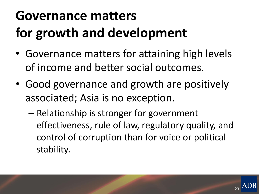### **Governance matters for growth and development**

- Governance matters for attaining high levels of income and better social outcomes.
- Good governance and growth are positively associated; Asia is no exception.
	- Relationship is stronger for government effectiveness, rule of law, regulatory quality, and control of corruption than for voice or political stability.

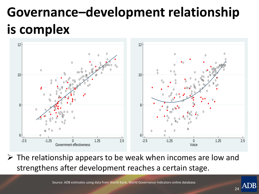#### **Governance–development relationship is complex**



 $\triangleright$  The relationship appears to be weak when incomes are low and strengthens after development reaches a certain stage.

Source: ADB estimates using data from World Bank, World Governance Indicators online database.

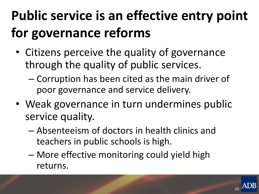## **Public service is an effective entry point for governance reforms**

- Citizens perceive the quality of governance through the quality of public services.
	- Corruption has been cited as the main driver of poor governance and service delivery.
- Weak governance in turn undermines public service quality.
	- Absenteeism of doctors in health clinics and teachers in public schools is high.
	- More effective monitoring could yield high returns.

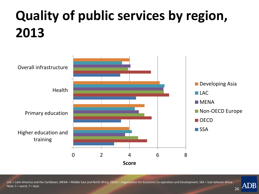#### **Quality of public services by region, 2013**



LAC = Latin America and the Caribbean, MENA = Middle East and North Africa, OECD = Organisation for Economic Co-operation and Development, SSA = Sub-Saharan Africa. Note:  $1 =$  worst,  $7 =$  best.

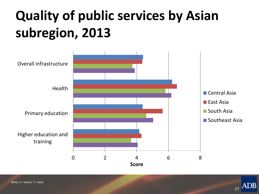#### **Quality of public services by Asian subregion, 2013**





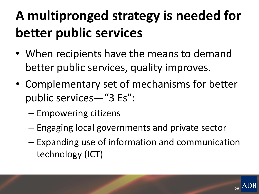### **A multipronged strategy is needed for better public services**

- When recipients have the means to demand better public services, quality improves.
- Complementary set of mechanisms for better public services—"3 Es":
	- Empowering citizens
	- Engaging local governments and private sector
	- Expanding use of information and communication technology (ICT)

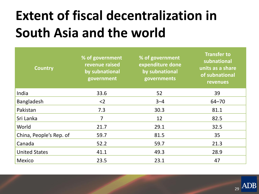#### **Extent of fiscal decentralization in South Asia and the world**

| <b>Country</b>          | % of government<br>revenue raised<br>by subnational<br>government | % of government<br>expenditure done<br>by subnational<br>governments | <b>Transfer to</b><br>subnational<br>units as a share<br>of subnational<br><b>revenues</b> |
|-------------------------|-------------------------------------------------------------------|----------------------------------------------------------------------|--------------------------------------------------------------------------------------------|
| India                   | 33.6                                                              | 52                                                                   | 39                                                                                         |
| Bangladesh              | $<$ 2                                                             | $3 - 4$                                                              | $64 - 70$                                                                                  |
| Pakistan                | 7.3                                                               | 30.3                                                                 | 81.1                                                                                       |
| Sri Lanka               | 7                                                                 | 12                                                                   | 82.5                                                                                       |
| World                   | 21.7                                                              | 29.1                                                                 | 32.5                                                                                       |
| China, People's Rep. of | 59.7                                                              | 81.5                                                                 | 35                                                                                         |
| Canada                  | 52.2                                                              | 59.7                                                                 | 21.3                                                                                       |
| <b>United States</b>    | 41.1                                                              | 49.3                                                                 | 28.9                                                                                       |
| Mexico                  | 23.5                                                              | 23.1                                                                 | 47                                                                                         |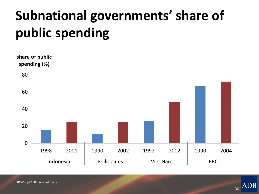#### **Subnational governments' share of public spending**



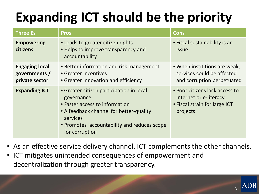#### **Expanding ICT should be the priority**

| <b>Three Es</b>                                          | <b>Pros</b>                                                                                                                                                                                                      | <b>Cons</b>                                                                                           |
|----------------------------------------------------------|------------------------------------------------------------------------------------------------------------------------------------------------------------------------------------------------------------------|-------------------------------------------------------------------------------------------------------|
| <b>Empowering</b><br>citizens                            | • Leads to greater citizen rights<br>• Helps to improve transparency and<br>accountability                                                                                                                       | • Fiscal sustainability is an<br><i>issue</i>                                                         |
| <b>Engaging local</b><br>governments /<br>private sector | • Better information and risk management<br>• Greater incentives<br>• Greater innovation and efficiency                                                                                                          | • When instititions are weak,<br>services could be affected<br>and corruption perpetuated             |
| <b>Expanding ICT</b>                                     | • Greater citizen participation in local<br>governance<br>• Faster access to information<br>• A feedback channel for better-quality<br>services<br>• Promotes accountability and reduces scope<br>for corruption | • Poor citizens lack access to<br>internet or e-literacy<br>• Fiscal strain for large ICT<br>projects |

- As an effective service delivery channel, ICT complements the other channels.
- ICT mitigates unintended consequences of empowerment and decentralization through greater transparency.

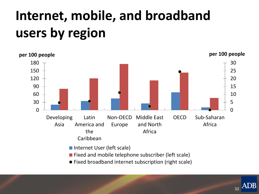#### **Internet, mobile, and broadband users by region**



ADB 32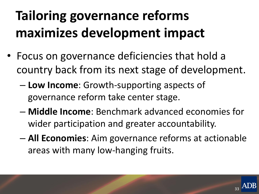# **Tailoring governance reforms maximizes development impact**

- Focus on governance deficiencies that hold a country back from its next stage of development.
	- **Low Income**: Growth-supporting aspects of governance reform take center stage.
	- **Middle Income**: Benchmark advanced economies for wider participation and greater accountability.
	- **All Economies**: Aim governance reforms at actionable areas with many low-hanging fruits.